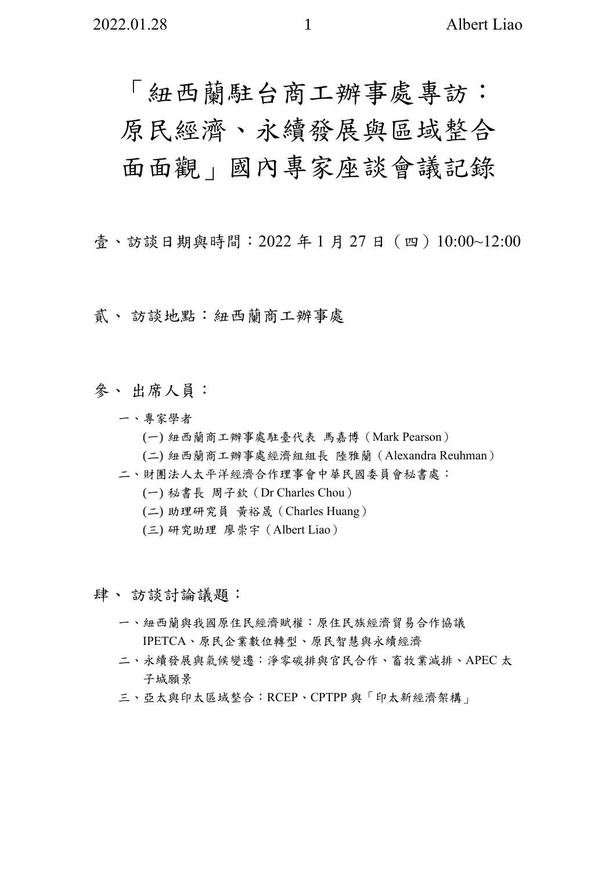「紐西蘭駐台商工辦事處專訪: 原民經濟、永續發展與區域整合 面面觀」國內專家座談會議記錄

壹、訪談日期與時間:2022 年 1 月 27 日(四)10:00~12:00

- 貳、 訪談地點:紐西蘭商工辦事處
- 參、 出席人員:
	- 一、專家學者
		- (一) 紐西蘭商工辦事處駐臺代表 馬嘉博(Mark Pearson)
		- (二) 紐西蘭商工辦事處經濟組組長 陸雅蘭(Alexandra Reuhman)
	- 二、財團法人太平洋經濟合作理事會中華民國委員會秘書處:
		- (一) 秘書長 周子欽(Dr Charles Chou)
		- (二) 助理研究員 黃裕晟(Charles Huang)
		- (三) 研究助理 廖崇宇(Albert Liao)
- 肆、 訪談討論議題:
	- 一、紐西蘭與我國原住民經濟賦權:原住民族經濟貿易合作協議 IPETCA、原民企業數位轉型、原民智慧與永續經濟
	- 二、永續發展與氣候變遷:淨零碳排與官民合作、畜牧業減排、APEC 太 子城願景
	- 三、亞太與印太區域整合:RCEP、CPTPP 與「印太新經濟架構」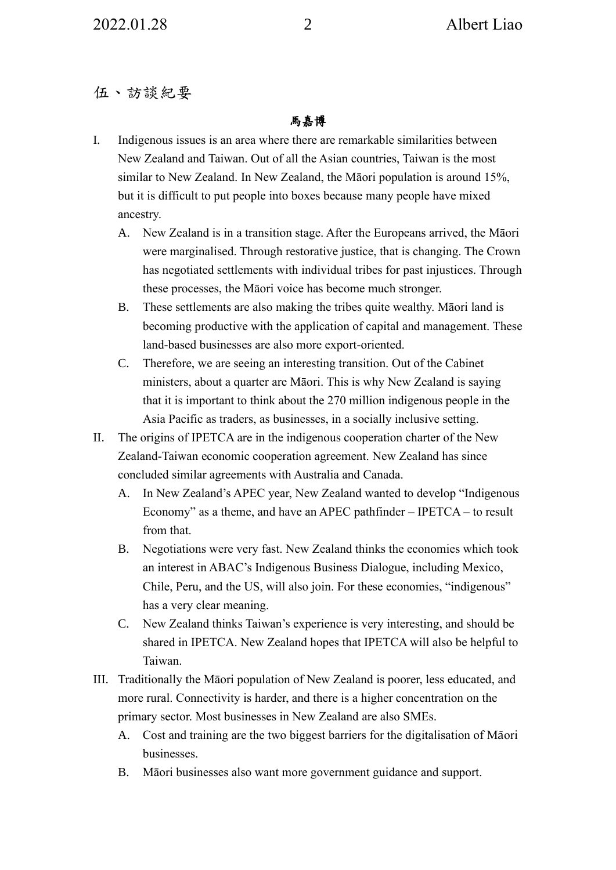伍、訪談紀要

## 馬嘉博

- I. Indigenous issues is an area where there are remarkable similarities between New Zealand and Taiwan. Out of all the Asian countries, Taiwan is the most similar to New Zealand. In New Zealand, the Māori population is around 15%, but it is difficult to put people into boxes because many people have mixed ancestry.
	- A. New Zealand is in a transition stage. After the Europeans arrived, the Māori were marginalised. Through restorative justice, that is changing. The Crown has negotiated settlements with individual tribes for past injustices. Through these processes, the Māori voice has become much stronger.
	- B. These settlements are also making the tribes quite wealthy. Māori land is becoming productive with the application of capital and management. These land-based businesses are also more export-oriented.
	- C. Therefore, we are seeing an interesting transition. Out of the Cabinet ministers, about a quarter are Māori. This is why New Zealand is saying that it is important to think about the 270 million indigenous people in the Asia Pacific as traders, as businesses, in a socially inclusive setting.
- II. The origins of IPETCA are in the indigenous cooperation charter of the New Zealand-Taiwan economic cooperation agreement. New Zealand has since concluded similar agreements with Australia and Canada.
	- A. In New Zealand's APEC year, New Zealand wanted to develop "Indigenous Economy" as a theme, and have an APEC pathfinder – IPETCA – to result from that.
	- B. Negotiations were very fast. New Zealand thinks the economies which took an interest in ABAC's Indigenous Business Dialogue, including Mexico, Chile, Peru, and the US, will also join. For these economies, "indigenous" has a very clear meaning.
	- C. New Zealand thinks Taiwan's experience is very interesting, and should be shared in IPETCA. New Zealand hopes that IPETCA will also be helpful to Taiwan.
- III. Traditionally the Māori population of New Zealand is poorer, less educated, and more rural. Connectivity is harder, and there is a higher concentration on the primary sector. Most businesses in New Zealand are also SMEs.
	- A. Cost and training are the two biggest barriers for the digitalisation of Māori businesses.
	- B. Māori businesses also want more government guidance and support.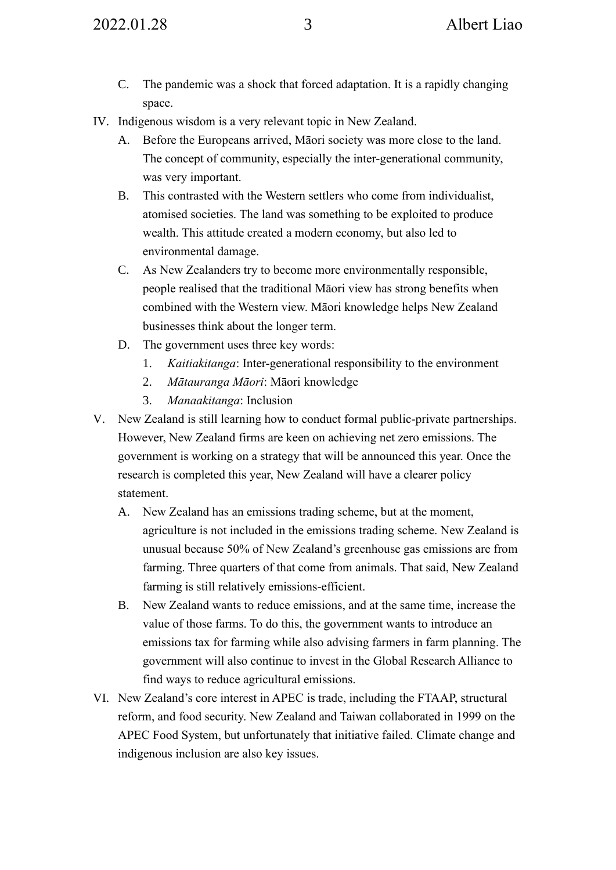- C. The pandemic was a shock that forced adaptation. It is a rapidly changing space.
- IV. Indigenous wisdom is a very relevant topic in New Zealand.
	- A. Before the Europeans arrived, Māori society was more close to the land. The concept of community, especially the inter-generational community, was very important.
	- B. This contrasted with the Western settlers who come from individualist, atomised societies. The land was something to be exploited to produce wealth. This attitude created a modern economy, but also led to environmental damage.
	- C. As New Zealanders try to become more environmentally responsible, people realised that the traditional Māori view has strong benefits when combined with the Western view. Māori knowledge helps New Zealand businesses think about the longer term.
	- D. The government uses three key words:
		- 1. *Kaitiakitanga*: Inter-generational responsibility to the environment
		- 2. *Mātauranga Māori*: Māori knowledge
		- 3. *Manaakitanga*: Inclusion
- V. New Zealand is still learning how to conduct formal public-private partnerships. However, New Zealand firms are keen on achieving net zero emissions. The government is working on a strategy that will be announced this year. Once the research is completed this year, New Zealand will have a clearer policy statement.
	- A. New Zealand has an emissions trading scheme, but at the moment, agriculture is not included in the emissions trading scheme. New Zealand is unusual because 50% of New Zealand's greenhouse gas emissions are from farming. Three quarters of that come from animals. That said, New Zealand farming is still relatively emissions-efficient.
	- B. New Zealand wants to reduce emissions, and at the same time, increase the value of those farms. To do this, the government wants to introduce an emissions tax for farming while also advising farmers in farm planning. The government will also continue to invest in the Global Research Alliance to find ways to reduce agricultural emissions.
- VI. New Zealand's core interest in APEC is trade, including the FTAAP, structural reform, and food security. New Zealand and Taiwan collaborated in 1999 on the APEC Food System, but unfortunately that initiative failed. Climate change and indigenous inclusion are also key issues.